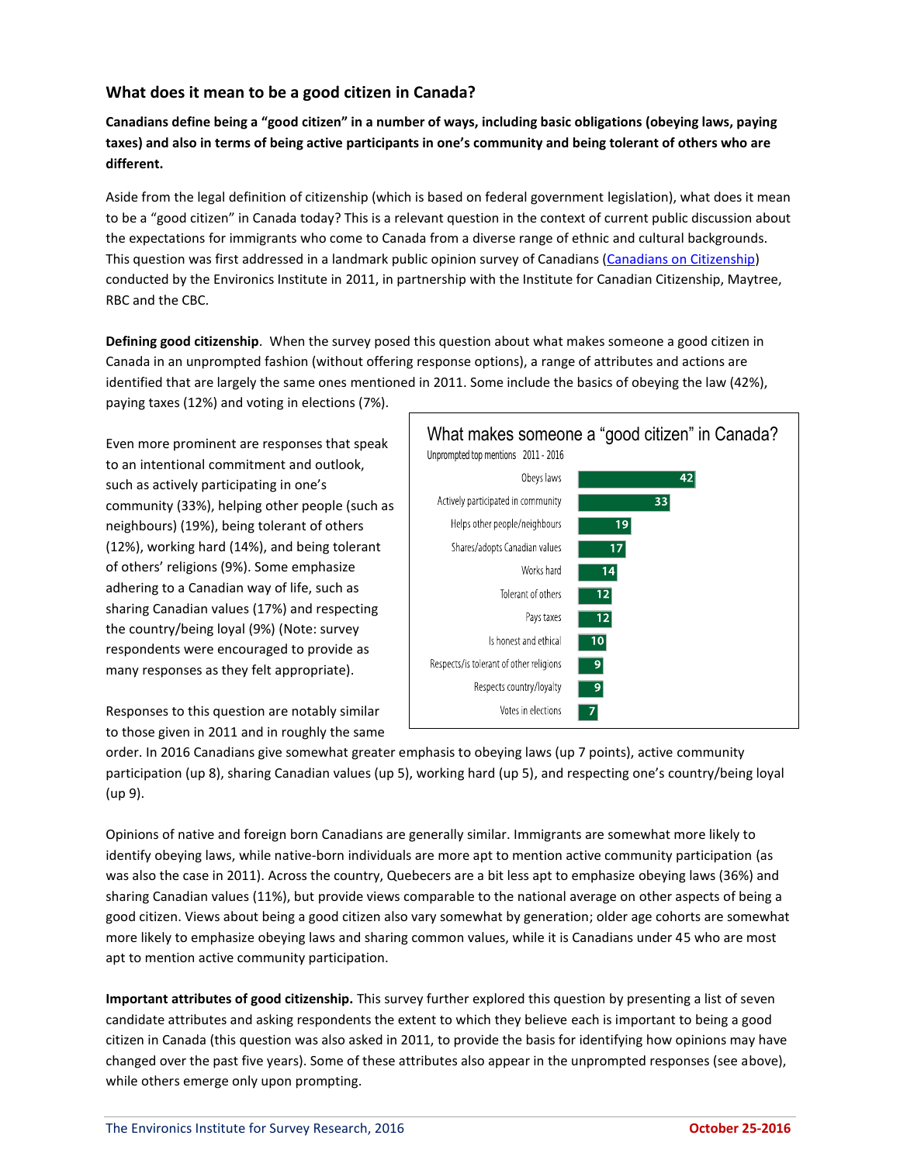## **What does it mean to be a good citizen in Canada?**

**Canadians define being a "good citizen" in a number of ways, including basic obligations (obeying laws, paying taxes) and also in terms of being active participants in one's community and being tolerant of others who are different.**

Aside from the legal definition of citizenship (which is based on federal government legislation), what does it mean to be a "good citizen" in Canada today? This is a relevant question in the context of current public discussion about the expectations for immigrants who come to Canada from a diverse range of ethnic and cultural backgrounds. This question was first addressed in a landmark public opinion survey of Canadians [\(Canadians on Citizenship\)](http://environicsinstitute.org/institute-projects/completed-projects/canadians-citizenship) conducted by the Environics Institute in 2011, in partnership with the Institute for Canadian Citizenship, Maytree, RBC and the CBC.

**Defining good citizenship**. When the survey posed this question about what makes someone a good citizen in Canada in an unprompted fashion (without offering response options), a range of attributes and actions are identified that are largely the same ones mentioned in 2011. Some include the basics of obeying the law (42%), paying taxes (12%) and voting in elections (7%).

Even more prominent are responses that speak to an intentional commitment and outlook, such as actively participating in one's community (33%), helping other people (such as neighbours) (19%), being tolerant of others (12%), working hard (14%), and being tolerant of others' religions (9%). Some emphasize adhering to a Canadian way of life, such as sharing Canadian values (17%) and respecting the country/being loyal (9%) (Note: survey respondents were encouraged to provide as many responses as they felt appropriate).





order. In 2016 Canadians give somewhat greater emphasis to obeying laws (up 7 points), active community participation (up 8), sharing Canadian values (up 5), working hard (up 5), and respecting one's country/being loyal (up 9).

Opinions of native and foreign born Canadians are generally similar. Immigrants are somewhat more likely to identify obeying laws, while native-born individuals are more apt to mention active community participation (as was also the case in 2011). Across the country, Quebecers are a bit less apt to emphasize obeying laws (36%) and sharing Canadian values (11%), but provide views comparable to the national average on other aspects of being a good citizen. Views about being a good citizen also vary somewhat by generation; older age cohorts are somewhat more likely to emphasize obeying laws and sharing common values, while it is Canadians under 45 who are most apt to mention active community participation.

**Important attributes of good citizenship.** This survey further explored this question by presenting a list of seven candidate attributes and asking respondents the extent to which they believe each is important to being a good citizen in Canada (this question was also asked in 2011, to provide the basis for identifying how opinions may have changed over the past five years). Some of these attributes also appear in the unprompted responses (see above), while others emerge only upon prompting.